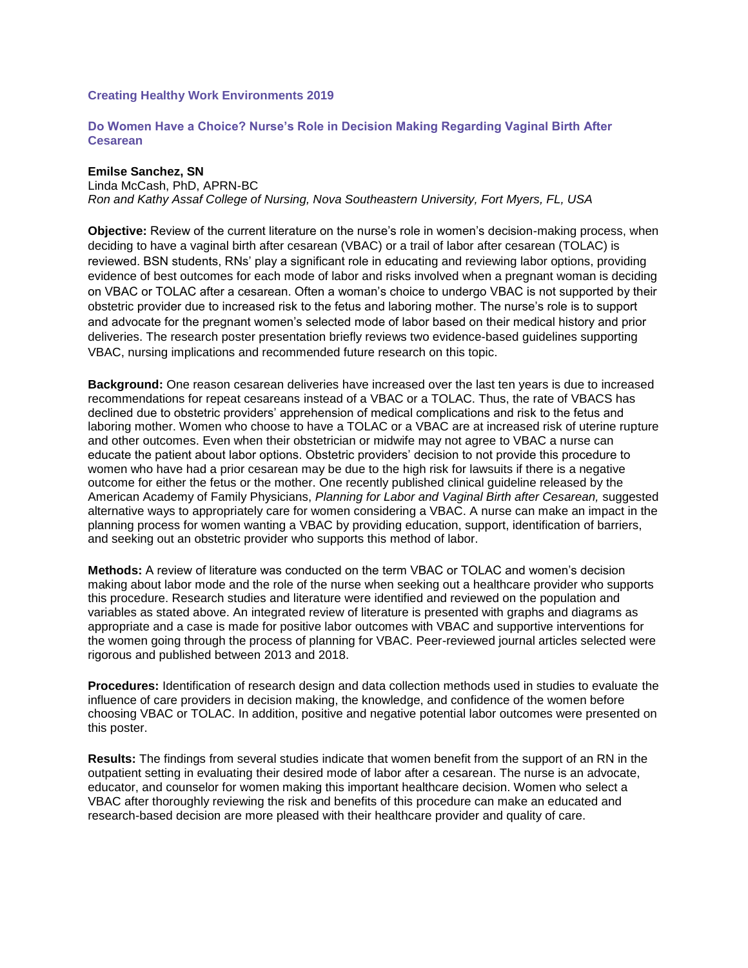#### **Creating Healthy Work Environments 2019**

**Do Women Have a Choice? Nurse's Role in Decision Making Regarding Vaginal Birth After Cesarean**

#### **Emilse Sanchez, SN**

Linda McCash, PhD, APRN-BC *Ron and Kathy Assaf College of Nursing, Nova Southeastern University, Fort Myers, FL, USA*

**Objective:** Review of the current literature on the nurse's role in women's decision-making process, when deciding to have a vaginal birth after cesarean (VBAC) or a trail of labor after cesarean (TOLAC) is reviewed. BSN students, RNs' play a significant role in educating and reviewing labor options, providing evidence of best outcomes for each mode of labor and risks involved when a pregnant woman is deciding on VBAC or TOLAC after a cesarean. Often a woman's choice to undergo VBAC is not supported by their obstetric provider due to increased risk to the fetus and laboring mother. The nurse's role is to support and advocate for the pregnant women's selected mode of labor based on their medical history and prior deliveries. The research poster presentation briefly reviews two evidence-based guidelines supporting VBAC, nursing implications and recommended future research on this topic.

**Background:** One reason cesarean deliveries have increased over the last ten years is due to increased recommendations for repeat cesareans instead of a VBAC or a TOLAC. Thus, the rate of VBACS has declined due to obstetric providers' apprehension of medical complications and risk to the fetus and laboring mother. Women who choose to have a TOLAC or a VBAC are at increased risk of uterine rupture and other outcomes. Even when their obstetrician or midwife may not agree to VBAC a nurse can educate the patient about labor options. Obstetric providers' decision to not provide this procedure to women who have had a prior cesarean may be due to the high risk for lawsuits if there is a negative outcome for either the fetus or the mother. One recently published clinical guideline released by the American Academy of Family Physicians, *Planning for Labor and Vaginal Birth after Cesarean,* suggested alternative ways to appropriately care for women considering a VBAC. A nurse can make an impact in the planning process for women wanting a VBAC by providing education, support, identification of barriers, and seeking out an obstetric provider who supports this method of labor.

**Methods:** A review of literature was conducted on the term VBAC or TOLAC and women's decision making about labor mode and the role of the nurse when seeking out a healthcare provider who supports this procedure. Research studies and literature were identified and reviewed on the population and variables as stated above. An integrated review of literature is presented with graphs and diagrams as appropriate and a case is made for positive labor outcomes with VBAC and supportive interventions for the women going through the process of planning for VBAC. Peer-reviewed journal articles selected were rigorous and published between 2013 and 2018.

**Procedures:** Identification of research design and data collection methods used in studies to evaluate the influence of care providers in decision making, the knowledge, and confidence of the women before choosing VBAC or TOLAC. In addition, positive and negative potential labor outcomes were presented on this poster.

**Results:** The findings from several studies indicate that women benefit from the support of an RN in the outpatient setting in evaluating their desired mode of labor after a cesarean. The nurse is an advocate, educator, and counselor for women making this important healthcare decision. Women who select a VBAC after thoroughly reviewing the risk and benefits of this procedure can make an educated and research-based decision are more pleased with their healthcare provider and quality of care.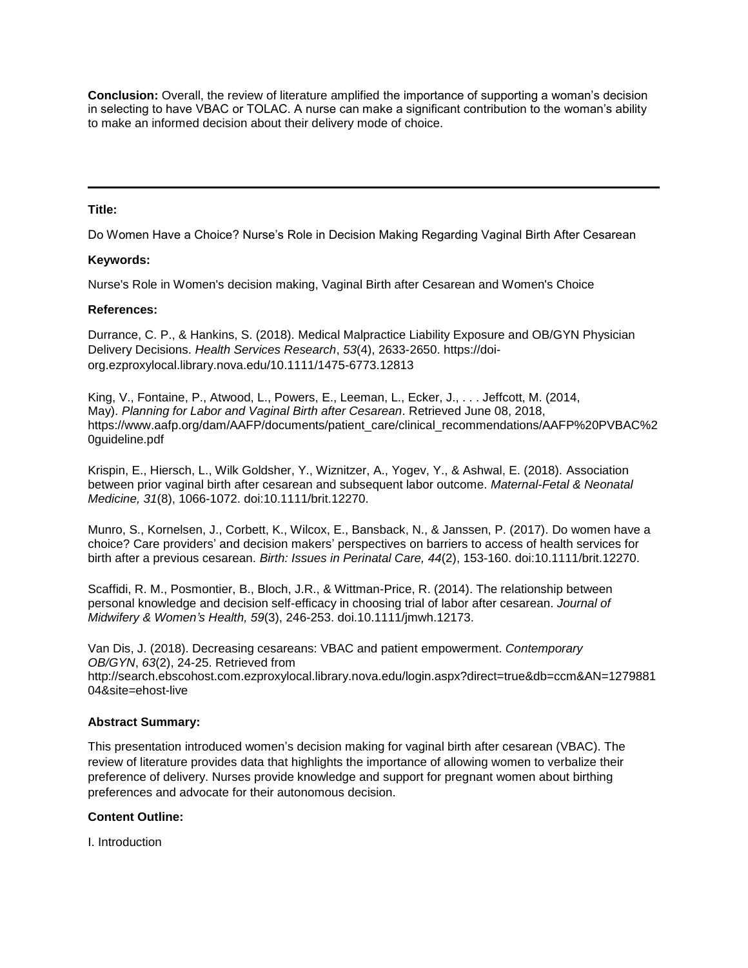**Conclusion:** Overall, the review of literature amplified the importance of supporting a woman's decision in selecting to have VBAC or TOLAC. A nurse can make a significant contribution to the woman's ability to make an informed decision about their delivery mode of choice.

### **Title:**

Do Women Have a Choice? Nurse's Role in Decision Making Regarding Vaginal Birth After Cesarean

## **Keywords:**

Nurse's Role in Women's decision making, Vaginal Birth after Cesarean and Women's Choice

## **References:**

Durrance, C. P., & Hankins, S. (2018). Medical Malpractice Liability Exposure and OB/GYN Physician Delivery Decisions. *Health Services Research*, *53*(4), 2633-2650. https://doiorg.ezproxylocal.library.nova.edu/10.1111/1475-6773.12813

King, V., Fontaine, P., Atwood, L., Powers, E., Leeman, L., Ecker, J., . . . Jeffcott, M. (2014, May). *Planning for Labor and Vaginal Birth after Cesarean*. Retrieved June 08, 2018, https://www.aafp.org/dam/AAFP/documents/patient\_care/clinical\_recommendations/AAFP%20PVBAC%2 0guideline.pdf

Krispin, E., Hiersch, L., Wilk Goldsher, Y., Wiznitzer, A., Yogev, Y., & Ashwal, E. (2018). Association between prior vaginal birth after cesarean and subsequent labor outcome. *Maternal-Fetal & Neonatal Medicine, 31*(8), 1066-1072. doi:10.1111/brit.12270.

Munro, S., Kornelsen, J., Corbett, K., Wilcox, E., Bansback, N., & Janssen, P. (2017). Do women have a choice? Care providers' and decision makers' perspectives on barriers to access of health services for birth after a previous cesarean. *Birth: Issues in Perinatal Care, 44*(2), 153-160. doi:10.1111/brit.12270.

Scaffidi, R. M., Posmontier, B., Bloch, J.R., & Wittman-Price, R. (2014). The relationship between personal knowledge and decision self-efficacy in choosing trial of labor after cesarean. *Journal of Midwifery & Women's Health, 59*(3), 246-253. doi.10.1111/jmwh.12173.

Van Dis, J. (2018). Decreasing cesareans: VBAC and patient empowerment. *Contemporary OB/GYN*, *63*(2), 24-25. Retrieved from

http://search.ebscohost.com.ezproxylocal.library.nova.edu/login.aspx?direct=true&db=ccm&AN=1279881 04&site=ehost-live

#### **Abstract Summary:**

This presentation introduced women's decision making for vaginal birth after cesarean (VBAC). The review of literature provides data that highlights the importance of allowing women to verbalize their preference of delivery. Nurses provide knowledge and support for pregnant women about birthing preferences and advocate for their autonomous decision.

# **Content Outline:**

I. Introduction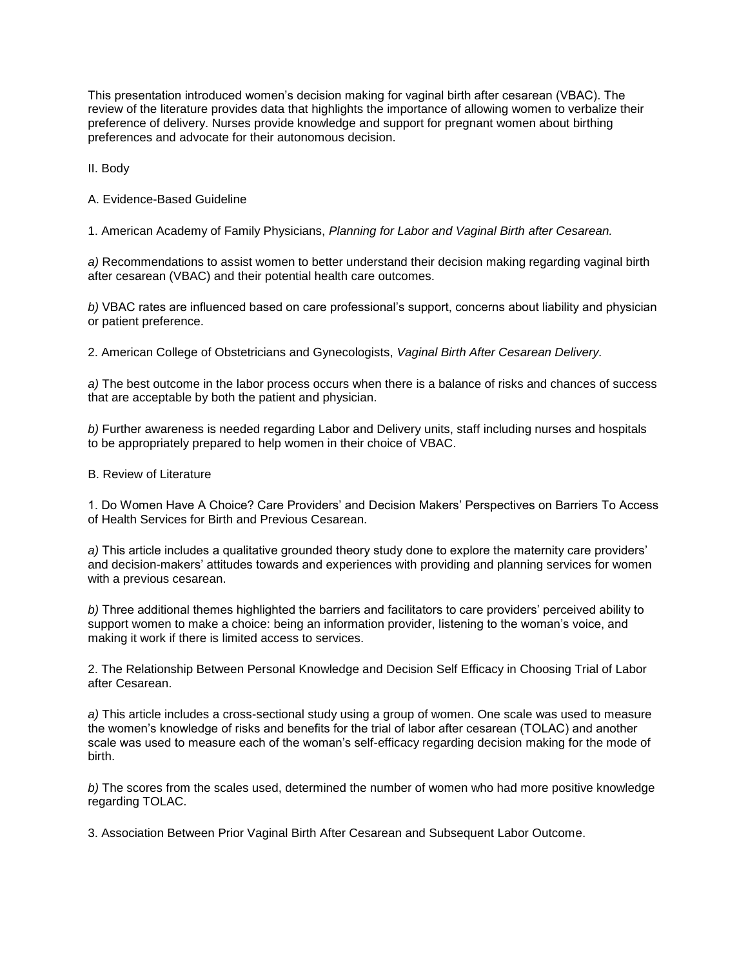This presentation introduced women's decision making for vaginal birth after cesarean (VBAC). The review of the literature provides data that highlights the importance of allowing women to verbalize their preference of delivery. Nurses provide knowledge and support for pregnant women about birthing preferences and advocate for their autonomous decision.

II. Body

A. Evidence-Based Guideline

1. American Academy of Family Physicians, *Planning for Labor and Vaginal Birth after Cesarean.*

*a)* Recommendations to assist women to better understand their decision making regarding vaginal birth after cesarean (VBAC) and their potential health care outcomes.

*b)* VBAC rates are influenced based on care professional's support, concerns about liability and physician or patient preference.

2. American College of Obstetricians and Gynecologists, *Vaginal Birth After Cesarean Delivery.*

*a)* The best outcome in the labor process occurs when there is a balance of risks and chances of success that are acceptable by both the patient and physician.

*b)* Further awareness is needed regarding Labor and Delivery units, staff including nurses and hospitals to be appropriately prepared to help women in their choice of VBAC.

B. Review of Literature

1. Do Women Have A Choice? Care Providers' and Decision Makers' Perspectives on Barriers To Access of Health Services for Birth and Previous Cesarean.

*a)* This article includes a qualitative grounded theory study done to explore the maternity care providers' and decision-makers' attitudes towards and experiences with providing and planning services for women with a previous cesarean.

*b)* Three additional themes highlighted the barriers and facilitators to care providers' perceived ability to support women to make a choice: being an information provider, listening to the woman's voice, and making it work if there is limited access to services.

2. The Relationship Between Personal Knowledge and Decision Self Efficacy in Choosing Trial of Labor after Cesarean.

*a)* This article includes a cross-sectional study using a group of women. One scale was used to measure the women's knowledge of risks and benefits for the trial of labor after cesarean (TOLAC) and another scale was used to measure each of the woman's self-efficacy regarding decision making for the mode of birth.

*b)* The scores from the scales used, determined the number of women who had more positive knowledge regarding TOLAC.

3. Association Between Prior Vaginal Birth After Cesarean and Subsequent Labor Outcome.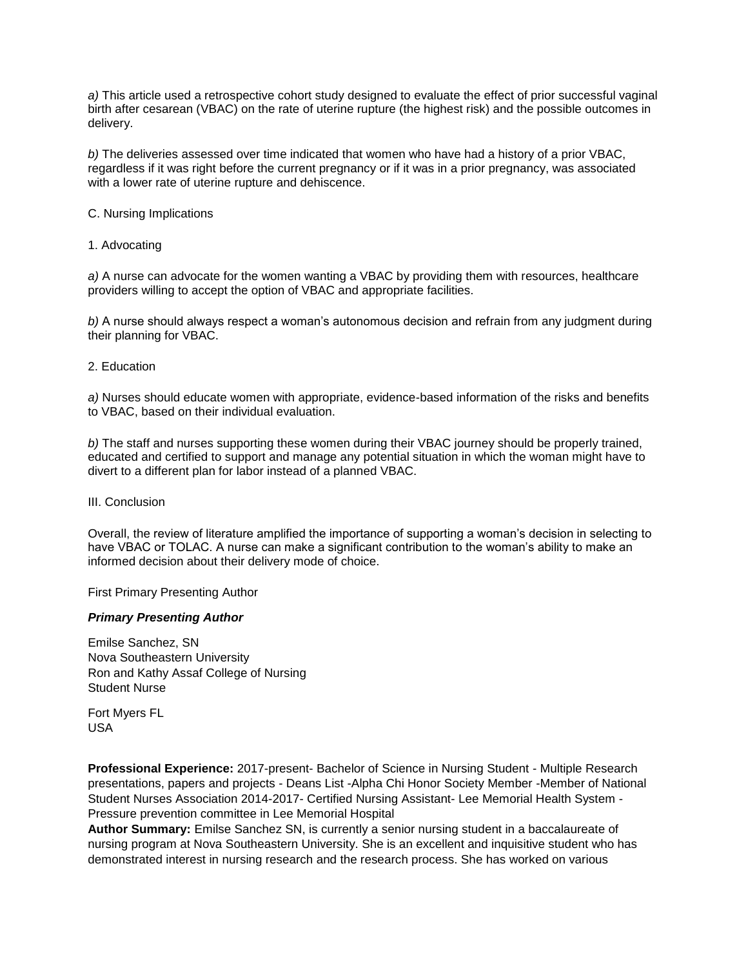*a)* This article used a retrospective cohort study designed to evaluate the effect of prior successful vaginal birth after cesarean (VBAC) on the rate of uterine rupture (the highest risk) and the possible outcomes in delivery.

*b)* The deliveries assessed over time indicated that women who have had a history of a prior VBAC, regardless if it was right before the current pregnancy or if it was in a prior pregnancy, was associated with a lower rate of uterine rupture and dehiscence.

C. Nursing Implications

1. Advocating

*a)* A nurse can advocate for the women wanting a VBAC by providing them with resources, healthcare providers willing to accept the option of VBAC and appropriate facilities.

*b)* A nurse should always respect a woman's autonomous decision and refrain from any judgment during their planning for VBAC.

2. Education

*a)* Nurses should educate women with appropriate, evidence-based information of the risks and benefits to VBAC, based on their individual evaluation.

*b)* The staff and nurses supporting these women during their VBAC journey should be properly trained, educated and certified to support and manage any potential situation in which the woman might have to divert to a different plan for labor instead of a planned VBAC.

III. Conclusion

Overall, the review of literature amplified the importance of supporting a woman's decision in selecting to have VBAC or TOLAC. A nurse can make a significant contribution to the woman's ability to make an informed decision about their delivery mode of choice.

First Primary Presenting Author

# *Primary Presenting Author*

Emilse Sanchez, SN Nova Southeastern University Ron and Kathy Assaf College of Nursing Student Nurse

Fort Myers FL USA

**Professional Experience:** 2017-present- Bachelor of Science in Nursing Student - Multiple Research presentations, papers and projects - Deans List -Alpha Chi Honor Society Member -Member of National Student Nurses Association 2014-2017- Certified Nursing Assistant- Lee Memorial Health System - Pressure prevention committee in Lee Memorial Hospital

**Author Summary:** Emilse Sanchez SN, is currently a senior nursing student in a baccalaureate of nursing program at Nova Southeastern University. She is an excellent and inquisitive student who has demonstrated interest in nursing research and the research process. She has worked on various